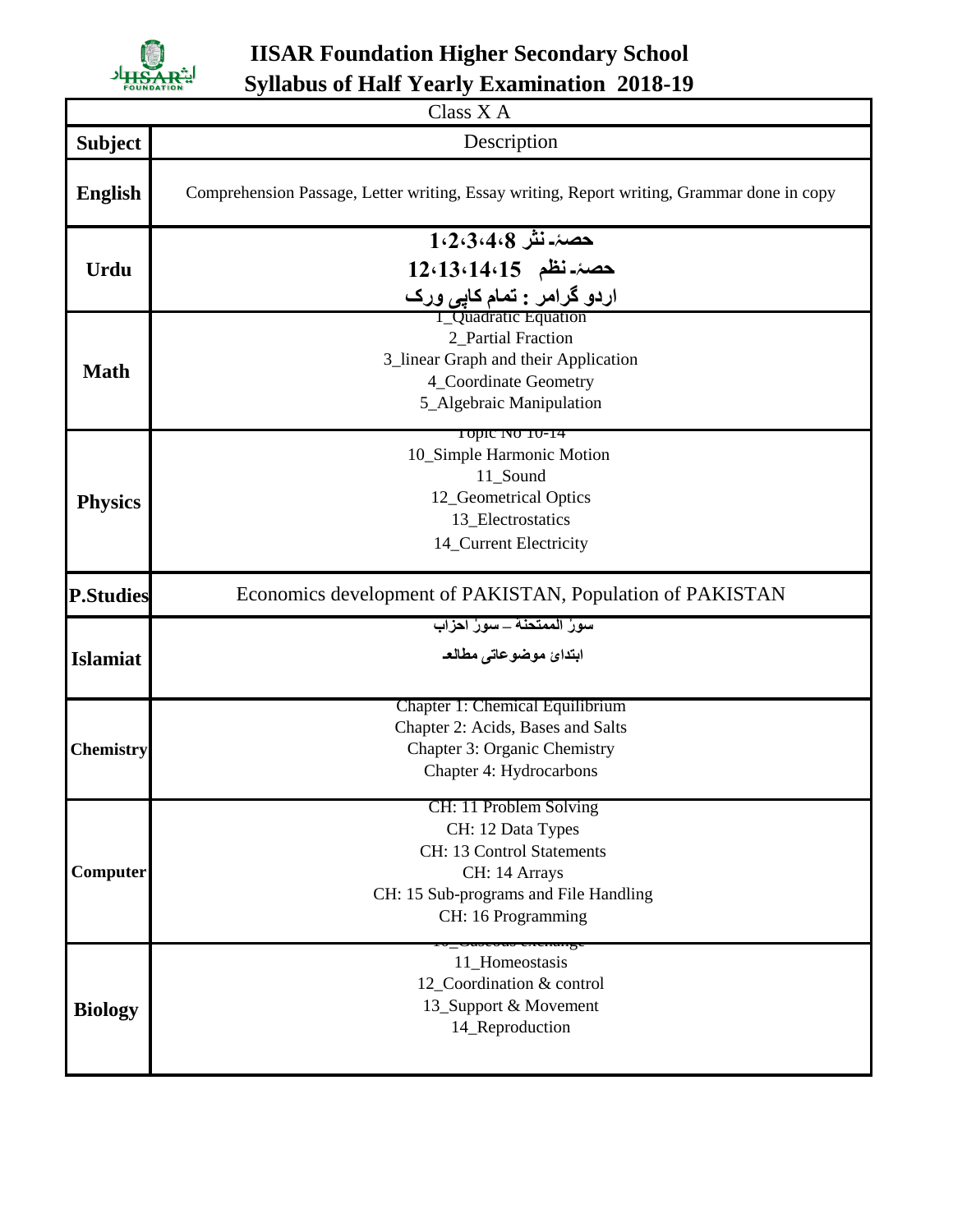

**IISAR Foundation Higher Secondary School Syllabus of Half Yearly Examination 2018-19**

| Class X A        |                                                                                            |  |
|------------------|--------------------------------------------------------------------------------------------|--|
| <b>Subject</b>   | Description                                                                                |  |
| <b>English</b>   | Comprehension Passage, Letter writing, Essay writing, Report writing, Grammar done in copy |  |
| Urdu             | حصۂ۔نش 1،2،3،4،8                                                                           |  |
|                  | 12،13،14،15 خصۂ-نظم                                                                        |  |
|                  | اردو گرامر : تمام کا <u>پی</u> ورک<br>I_Quadratic Equation                                 |  |
| <b>Math</b>      | 2_Partial Fraction                                                                         |  |
|                  | 3_linear Graph and their Application                                                       |  |
|                  | 4_Coordinate Geometry                                                                      |  |
|                  | 5_Algebraic Manipulation                                                                   |  |
|                  | 10pic 100 10-14                                                                            |  |
| <b>Physics</b>   | 10_Simple Harmonic Motion                                                                  |  |
|                  | 11_Sound                                                                                   |  |
|                  | 12_Geometrical Optics                                                                      |  |
|                  | 13_Electrostatics                                                                          |  |
|                  | 14_Current Electricity                                                                     |  |
| <b>P.Studies</b> | Economics development of PAKISTAN, Population of PAKISTAN                                  |  |
|                  | سورُ الممتحنة _ سورُ احزابِ                                                                |  |
| <b>Islamiat</b>  | ابتدائ موضوعاتى مطالع                                                                      |  |
| <b>Chemistry</b> | Chapter 1: Chemical Equilibrium                                                            |  |
|                  | Chapter 2: Acids, Bases and Salts                                                          |  |
|                  | Chapter 3: Organic Chemistry                                                               |  |
|                  | Chapter 4: Hydrocarbons                                                                    |  |
| Computer         | CH: 11 Problem Solving                                                                     |  |
|                  | CH: 12 Data Types                                                                          |  |
|                  | CH: 13 Control Statements                                                                  |  |
|                  | CH: 14 Arrays                                                                              |  |
|                  | CH: 15 Sub-programs and File Handling                                                      |  |
|                  | CH: 16 Programming                                                                         |  |
| <b>Biology</b>   | <del>o_oaoooao enemarge</del><br>11_Homeostasis                                            |  |
|                  | 12_Coordination & control                                                                  |  |
|                  | 13_Support & Movement                                                                      |  |
|                  | 14_Reproduction                                                                            |  |
|                  |                                                                                            |  |